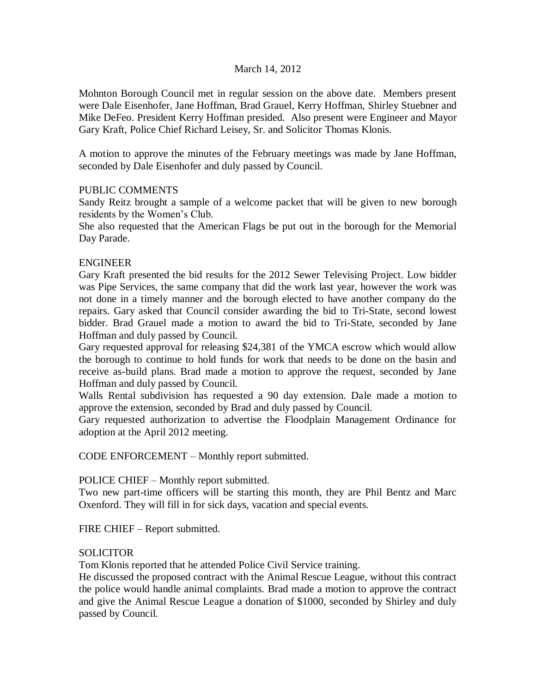## March 14, 2012

Mohnton Borough Council met in regular session on the above date. Members present were Dale Eisenhofer, Jane Hoffman, Brad Grauel, Kerry Hoffman, Shirley Stuebner and Mike DeFeo. President Kerry Hoffman presided. Also present were Engineer and Mayor Gary Kraft, Police Chief Richard Leisey, Sr. and Solicitor Thomas Klonis.

A motion to approve the minutes of the February meetings was made by Jane Hoffman, seconded by Dale Eisenhofer and duly passed by Council.

## PUBLIC COMMENTS

Sandy Reitz brought a sample of a welcome packet that will be given to new borough residents by the Women's Club.

She also requested that the American Flags be put out in the borough for the Memorial Day Parade.

# ENGINEER

Gary Kraft presented the bid results for the 2012 Sewer Televising Project. Low bidder was Pipe Services, the same company that did the work last year, however the work was not done in a timely manner and the borough elected to have another company do the repairs. Gary asked that Council consider awarding the bid to Tri-State, second lowest bidder. Brad Grauel made a motion to award the bid to Tri-State, seconded by Jane Hoffman and duly passed by Council.

Gary requested approval for releasing \$24,381 of the YMCA escrow which would allow the borough to continue to hold funds for work that needs to be done on the basin and receive as-build plans. Brad made a motion to approve the request, seconded by Jane Hoffman and duly passed by Council.

Walls Rental subdivision has requested a 90 day extension. Dale made a motion to approve the extension, seconded by Brad and duly passed by Council.

Gary requested authorization to advertise the Floodplain Management Ordinance for adoption at the April 2012 meeting.

CODE ENFORCEMENT – Monthly report submitted.

## POLICE CHIEF – Monthly report submitted.

Two new part-time officers will be starting this month, they are Phil Bentz and Marc Oxenford. They will fill in for sick days, vacation and special events.

FIRE CHIEF – Report submitted.

## SOLICITOR

Tom Klonis reported that he attended Police Civil Service training.

He discussed the proposed contract with the Animal Rescue League, without this contract the police would handle animal complaints. Brad made a motion to approve the contract and give the Animal Rescue League a donation of \$1000, seconded by Shirley and duly passed by Council.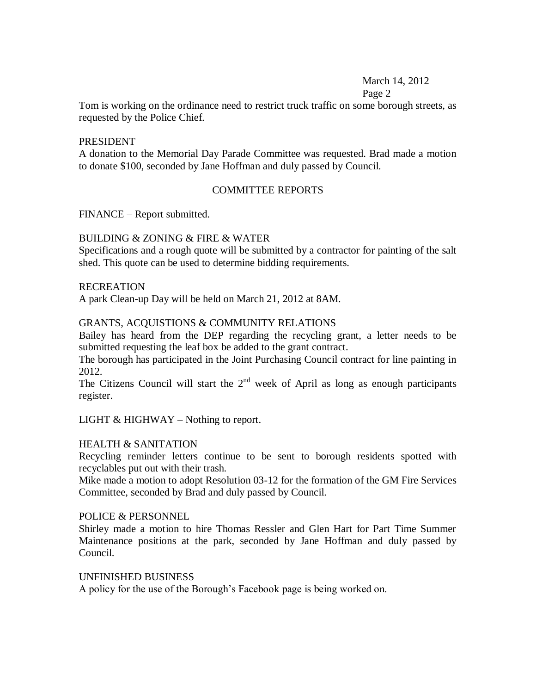# March 14, 2012

#### Page 2

Tom is working on the ordinance need to restrict truck traffic on some borough streets, as requested by the Police Chief.

#### PRESIDENT

A donation to the Memorial Day Parade Committee was requested. Brad made a motion to donate \$100, seconded by Jane Hoffman and duly passed by Council.

## COMMITTEE REPORTS

FINANCE – Report submitted.

## BUILDING & ZONING & FIRE & WATER

Specifications and a rough quote will be submitted by a contractor for painting of the salt shed. This quote can be used to determine bidding requirements.

#### RECREATION

A park Clean-up Day will be held on March 21, 2012 at 8AM.

# GRANTS, ACQUISTIONS & COMMUNITY RELATIONS

Bailey has heard from the DEP regarding the recycling grant, a letter needs to be submitted requesting the leaf box be added to the grant contract.

The borough has participated in the Joint Purchasing Council contract for line painting in 2012.

The Citizens Council will start the  $2<sup>nd</sup>$  week of April as long as enough participants register.

LIGHT  $& HIGHWAY - Nothing to report.$ 

## HEALTH & SANITATION

Recycling reminder letters continue to be sent to borough residents spotted with recyclables put out with their trash.

Mike made a motion to adopt Resolution 03-12 for the formation of the GM Fire Services Committee, seconded by Brad and duly passed by Council.

## POLICE & PERSONNEL

Shirley made a motion to hire Thomas Ressler and Glen Hart for Part Time Summer Maintenance positions at the park, seconded by Jane Hoffman and duly passed by Council.

## UNFINISHED BUSINESS

A policy for the use of the Borough's Facebook page is being worked on.